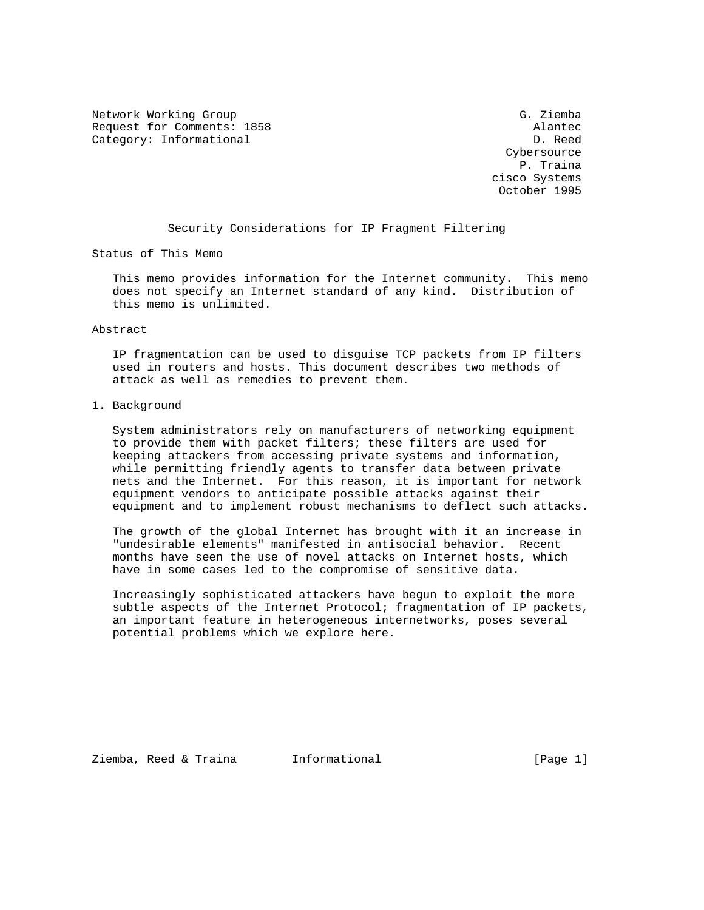Network Working Group Group G. Ziemba Request for Comments: 1858 Alantec Category: Informational D. Reed

 Cybersource P. Traina cisco Systems October 1995

Security Considerations for IP Fragment Filtering

Status of This Memo

 This memo provides information for the Internet community. This memo does not specify an Internet standard of any kind. Distribution of this memo is unlimited.

#### Abstract

 IP fragmentation can be used to disguise TCP packets from IP filters used in routers and hosts. This document describes two methods of attack as well as remedies to prevent them.

1. Background

 System administrators rely on manufacturers of networking equipment to provide them with packet filters; these filters are used for keeping attackers from accessing private systems and information, while permitting friendly agents to transfer data between private nets and the Internet. For this reason, it is important for network equipment vendors to anticipate possible attacks against their equipment and to implement robust mechanisms to deflect such attacks.

 The growth of the global Internet has brought with it an increase in "undesirable elements" manifested in antisocial behavior. Recent months have seen the use of novel attacks on Internet hosts, which have in some cases led to the compromise of sensitive data.

 Increasingly sophisticated attackers have begun to exploit the more subtle aspects of the Internet Protocol; fragmentation of IP packets, an important feature in heterogeneous internetworks, poses several potential problems which we explore here.

Ziemba, Reed & Traina 1nformational (Page 1)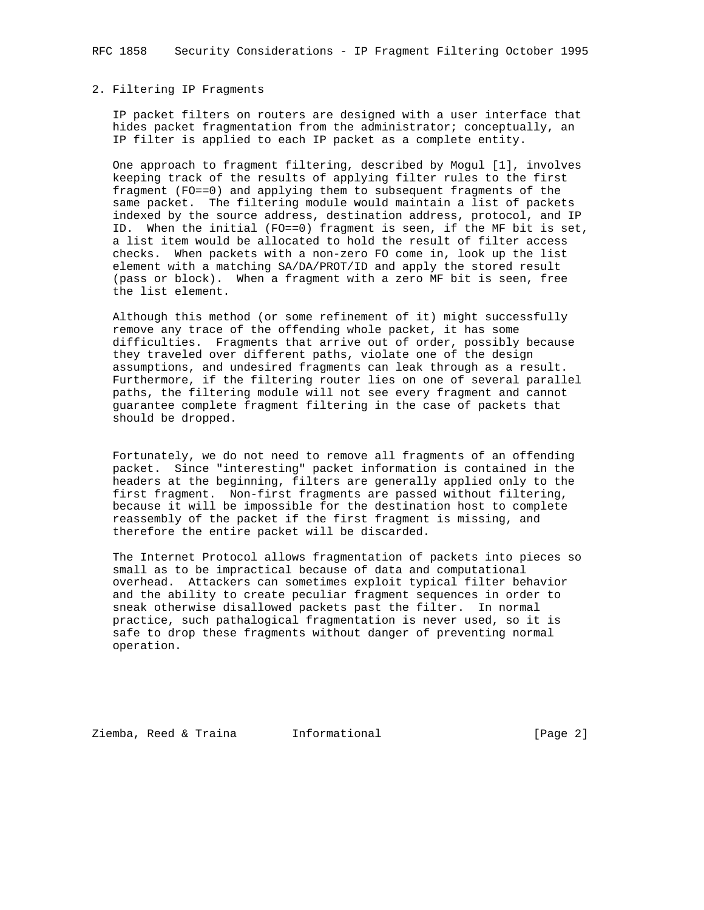### 2. Filtering IP Fragments

 IP packet filters on routers are designed with a user interface that hides packet fragmentation from the administrator; conceptually, an IP filter is applied to each IP packet as a complete entity.

 One approach to fragment filtering, described by Mogul [1], involves keeping track of the results of applying filter rules to the first fragment (FO==0) and applying them to subsequent fragments of the same packet. The filtering module would maintain a list of packets indexed by the source address, destination address, protocol, and IP ID. When the initial (FO==0) fragment is seen, if the MF bit is set, a list item would be allocated to hold the result of filter access checks. When packets with a non-zero FO come in, look up the list element with a matching SA/DA/PROT/ID and apply the stored result (pass or block). When a fragment with a zero MF bit is seen, free the list element.

 Although this method (or some refinement of it) might successfully remove any trace of the offending whole packet, it has some difficulties. Fragments that arrive out of order, possibly because they traveled over different paths, violate one of the design assumptions, and undesired fragments can leak through as a result. Furthermore, if the filtering router lies on one of several parallel paths, the filtering module will not see every fragment and cannot guarantee complete fragment filtering in the case of packets that should be dropped.

 Fortunately, we do not need to remove all fragments of an offending packet. Since "interesting" packet information is contained in the headers at the beginning, filters are generally applied only to the first fragment. Non-first fragments are passed without filtering, because it will be impossible for the destination host to complete reassembly of the packet if the first fragment is missing, and therefore the entire packet will be discarded.

 The Internet Protocol allows fragmentation of packets into pieces so small as to be impractical because of data and computational overhead. Attackers can sometimes exploit typical filter behavior and the ability to create peculiar fragment sequences in order to sneak otherwise disallowed packets past the filter. In normal practice, such pathalogical fragmentation is never used, so it is safe to drop these fragments without danger of preventing normal operation.

Ziemba, Reed & Traina 1nformational 1999 (Page 2)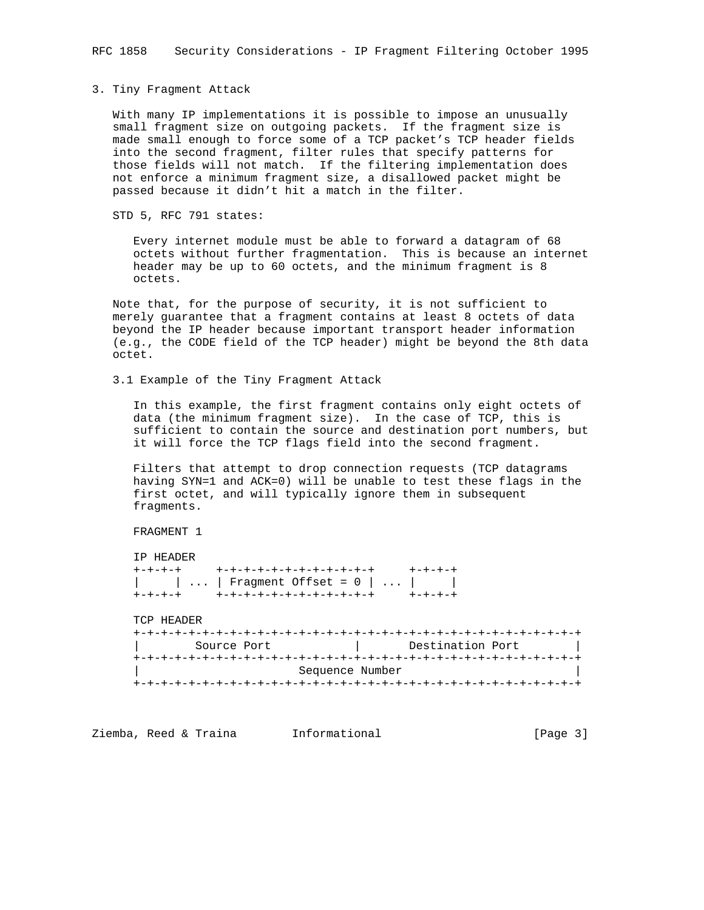#### 3. Tiny Fragment Attack

 With many IP implementations it is possible to impose an unusually small fragment size on outgoing packets. If the fragment size is made small enough to force some of a TCP packet's TCP header fields into the second fragment, filter rules that specify patterns for those fields will not match. If the filtering implementation does not enforce a minimum fragment size, a disallowed packet might be passed because it didn't hit a match in the filter.

STD 5, RFC 791 states:

 Every internet module must be able to forward a datagram of 68 octets without further fragmentation. This is because an internet header may be up to 60 octets, and the minimum fragment is 8 octets.

 Note that, for the purpose of security, it is not sufficient to merely guarantee that a fragment contains at least 8 octets of data beyond the IP header because important transport header information (e.g., the CODE field of the TCP header) might be beyond the 8th data octet.

3.1 Example of the Tiny Fragment Attack

 In this example, the first fragment contains only eight octets of data (the minimum fragment size). In the case of TCP, this is sufficient to contain the source and destination port numbers, but it will force the TCP flags field into the second fragment.

 Filters that attempt to drop connection requests (TCP datagrams having SYN=1 and ACK=0) will be unable to test these flags in the first octet, and will typically ignore them in subsequent fragments.

FRAGMENT 1

 IP HEADER +-+-+-+ +-+-+-+-+-+-+-+-+-+-+-+ +-+-+-+ | | ... | Fragment Offset = 0 | ... | | +-+-+-+ +-+-+-+-+-+-+-+-+-+-+-+ +-+-+-+

TCP HEADER

| Source Port     | Destination Port |
|-----------------|------------------|
|                 |                  |
| Sequence Number |                  |
|                 |                  |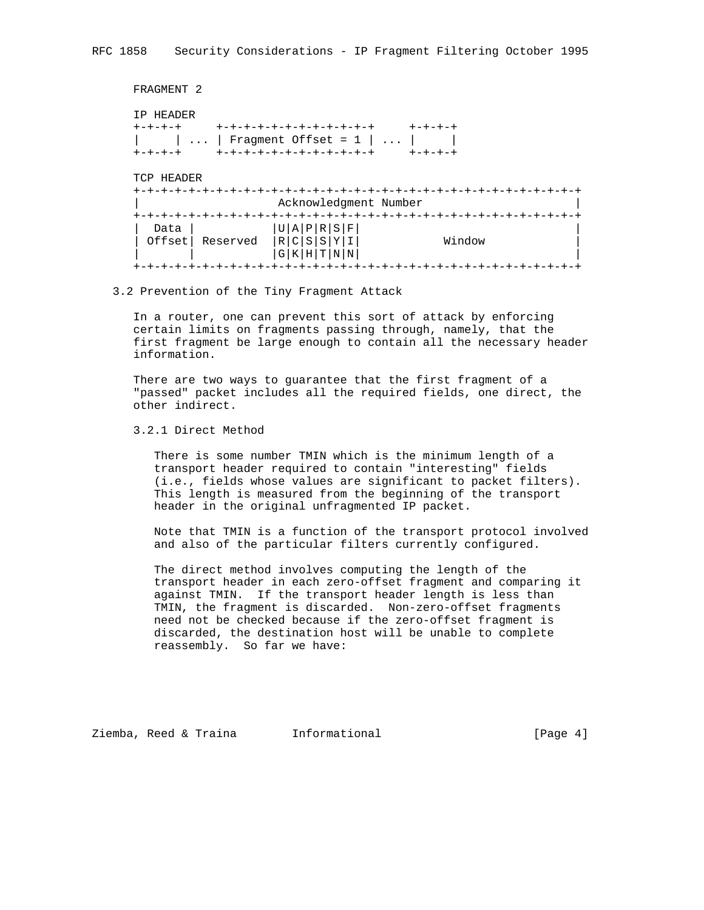```
 FRAGMENT 2
 IP HEADER
 +-+-+-+ +-+-+-+-+-+-+-+-+-+-+-+ +-+-+-+
| | ... | Fragment Offset = 1 | ... | |
 +-+-+-+ +-+-+-+-+-+-+-+-+-+-+-+ +-+-+-+
 TCP HEADER
 +-+-+-+-+-+-+-+-+-+-+-+-+-+-+-+-+-+-+-+-+-+-+-+-+-+-+-+-+-+-+-+-+
                   | Acknowledgment Number |
 +-+-+-+-+-+-+-+-+-+-+-+-+-+-+-+-+-+-+-+-+-+-+-+-+-+-+-+-+-+-+-+-+
 \text{Data} | |U|A|P|R|S|F|| Offset | Reserved |R|C|S|Y|I| Window
   | | |G|K|H|T|N|N| |
 +-+-+-+-+-+-+-+-+-+-+-+-+-+-+-+-+-+-+-+-+-+-+-+-+-+-+-+-+-+-+-+-+
```
## 3.2 Prevention of the Tiny Fragment Attack

 In a router, one can prevent this sort of attack by enforcing certain limits on fragments passing through, namely, that the first fragment be large enough to contain all the necessary header information.

 There are two ways to guarantee that the first fragment of a "passed" packet includes all the required fields, one direct, the other indirect.

3.2.1 Direct Method

 There is some number TMIN which is the minimum length of a transport header required to contain "interesting" fields (i.e., fields whose values are significant to packet filters). This length is measured from the beginning of the transport header in the original unfragmented IP packet.

 Note that TMIN is a function of the transport protocol involved and also of the particular filters currently configured.

 The direct method involves computing the length of the transport header in each zero-offset fragment and comparing it against TMIN. If the transport header length is less than TMIN, the fragment is discarded. Non-zero-offset fragments need not be checked because if the zero-offset fragment is discarded, the destination host will be unable to complete reassembly. So far we have:

Ziemba, Reed & Traina 1nformational 11 100 [Page 4]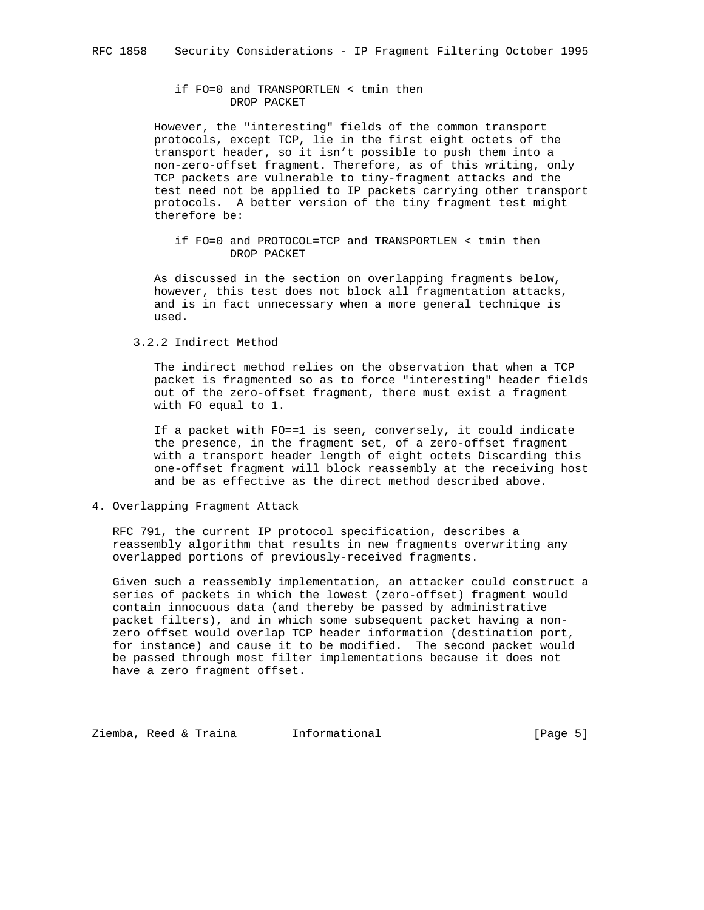# if FO=0 and TRANSPORTLEN < tmin then DROP PACKET

 However, the "interesting" fields of the common transport protocols, except TCP, lie in the first eight octets of the transport header, so it isn't possible to push them into a non-zero-offset fragment. Therefore, as of this writing, only TCP packets are vulnerable to tiny-fragment attacks and the test need not be applied to IP packets carrying other transport protocols. A better version of the tiny fragment test might therefore be:

 if FO=0 and PROTOCOL=TCP and TRANSPORTLEN < tmin then DROP PACKET

 As discussed in the section on overlapping fragments below, however, this test does not block all fragmentation attacks, and is in fact unnecessary when a more general technique is used.

3.2.2 Indirect Method

 The indirect method relies on the observation that when a TCP packet is fragmented so as to force "interesting" header fields out of the zero-offset fragment, there must exist a fragment with FO equal to 1.

 If a packet with FO==1 is seen, conversely, it could indicate the presence, in the fragment set, of a zero-offset fragment with a transport header length of eight octets Discarding this one-offset fragment will block reassembly at the receiving host and be as effective as the direct method described above.

4. Overlapping Fragment Attack

 RFC 791, the current IP protocol specification, describes a reassembly algorithm that results in new fragments overwriting any overlapped portions of previously-received fragments.

 Given such a reassembly implementation, an attacker could construct a series of packets in which the lowest (zero-offset) fragment would contain innocuous data (and thereby be passed by administrative packet filters), and in which some subsequent packet having a non zero offset would overlap TCP header information (destination port, for instance) and cause it to be modified. The second packet would be passed through most filter implementations because it does not have a zero fragment offset.

Ziemba, Reed & Traina 1nformational (Page 5)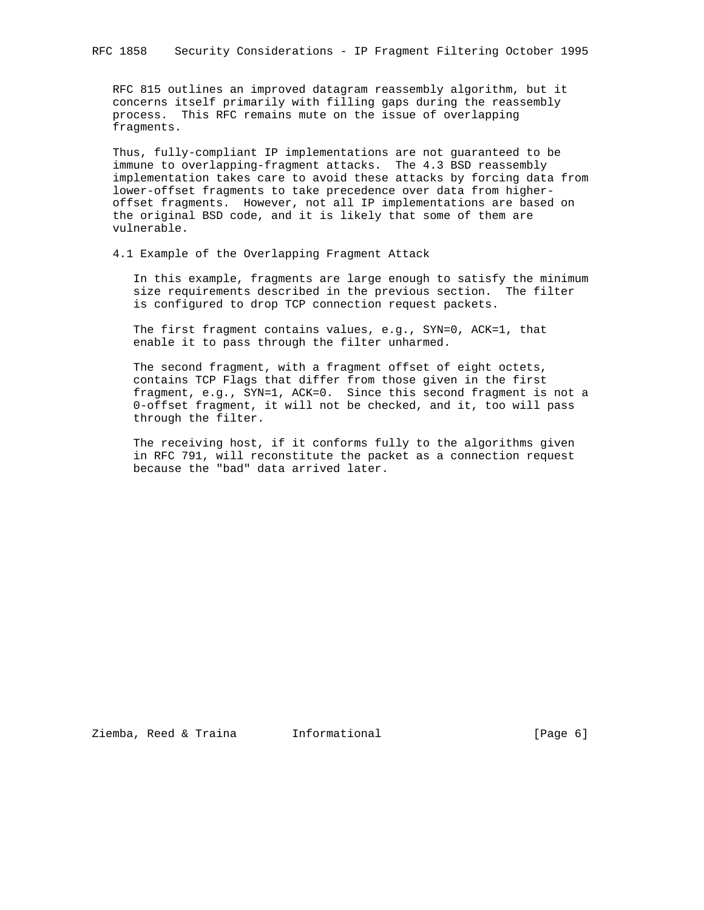RFC 815 outlines an improved datagram reassembly algorithm, but it concerns itself primarily with filling gaps during the reassembly process. This RFC remains mute on the issue of overlapping fragments.

 Thus, fully-compliant IP implementations are not guaranteed to be immune to overlapping-fragment attacks. The 4.3 BSD reassembly implementation takes care to avoid these attacks by forcing data from lower-offset fragments to take precedence over data from higher offset fragments. However, not all IP implementations are based on the original BSD code, and it is likely that some of them are vulnerable.

4.1 Example of the Overlapping Fragment Attack

 In this example, fragments are large enough to satisfy the minimum size requirements described in the previous section. The filter is configured to drop TCP connection request packets.

 The first fragment contains values, e.g., SYN=0, ACK=1, that enable it to pass through the filter unharmed.

 The second fragment, with a fragment offset of eight octets, contains TCP Flags that differ from those given in the first fragment, e.g., SYN=1, ACK=0. Since this second fragment is not a 0-offset fragment, it will not be checked, and it, too will pass through the filter.

 The receiving host, if it conforms fully to the algorithms given in RFC 791, will reconstitute the packet as a connection request because the "bad" data arrived later.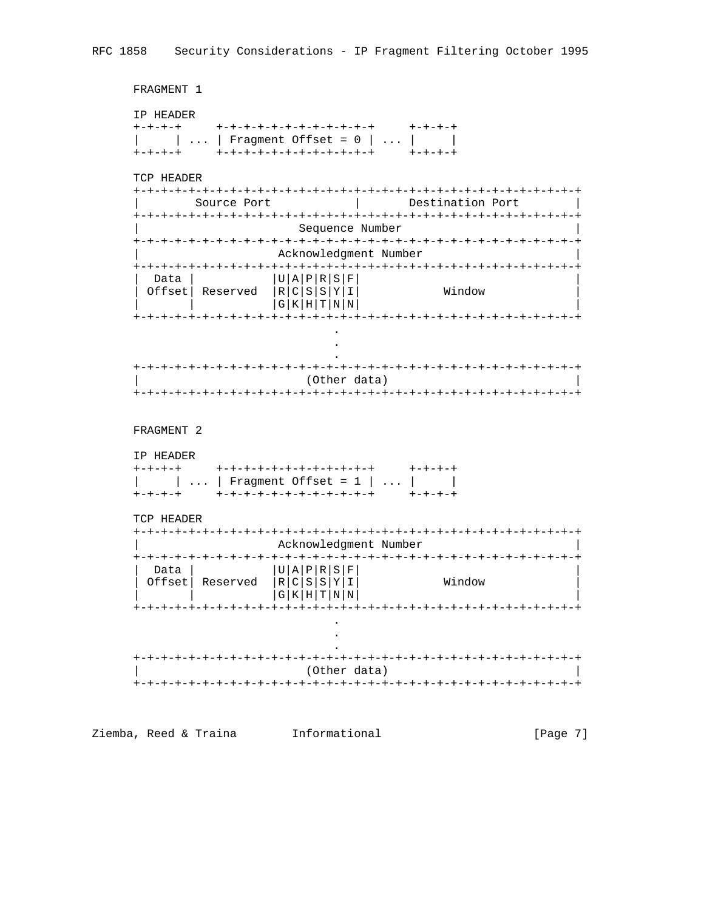FRAGMENT 1

IP HEADER

TCP HEADER

| 'I'( 'P∣<br>HEADER |             |  |             |  |  |                  |                       |
|--------------------|-------------|--|-------------|--|--|------------------|-----------------------|
|                    | Source Port |  |             |  |  | Destination Port |                       |
|                    |             |  |             |  |  |                  |                       |
|                    |             |  |             |  |  |                  | Sequence Number       |
|                    |             |  |             |  |  |                  | Acknowledgment Number |
|                    |             |  |             |  |  |                  |                       |
| Data               |             |  | U A P R S F |  |  |                  |                       |
| Offset             | Reserved    |  | R C S S Y I |  |  |                  | Window                |
|                    |             |  | $GKHTT$ $N$ |  |  |                  |                       |
|                    |             |  |             |  |  |                  |                       |
|                    |             |  |             |  |  |                  |                       |

| (Other data) |
|--------------|
|              |

 $\mathbf{r}$ 

FRAGMENT 2

IP HEADER

| +-+-+-+ | +-+-+-+-+-+-+-+-+-+-+-+                                       | $+ - + - + - +$ |
|---------|---------------------------------------------------------------|-----------------|
|         | $\vert \ldots \vert$ Fragment Offset = 1 $\vert \ldots \vert$ |                 |
| +-+-+-+ | +-+-+-+-+-+-+-+-+-+-+-+                                       | $+ - + - + - +$ |

TCP HEADER

|                |          |                                           |             |  | Acknowledgment Number |
|----------------|----------|-------------------------------------------|-------------|--|-----------------------|
|                |          |                                           |             |  |                       |
| Data<br>Offset | Reserved | 'U A P R S F<br> R C S S Y I <sub> </sub> | G K H T N N |  | Window                |
|                |          |                                           |             |  |                       |

| (Other data) |
|--------------|
|              |

Ziemba, Reed & Traina [Informational  $[Page 7]$ 

 $\sim$   $\sim$  $\langle \rangle$  $\overline{a}$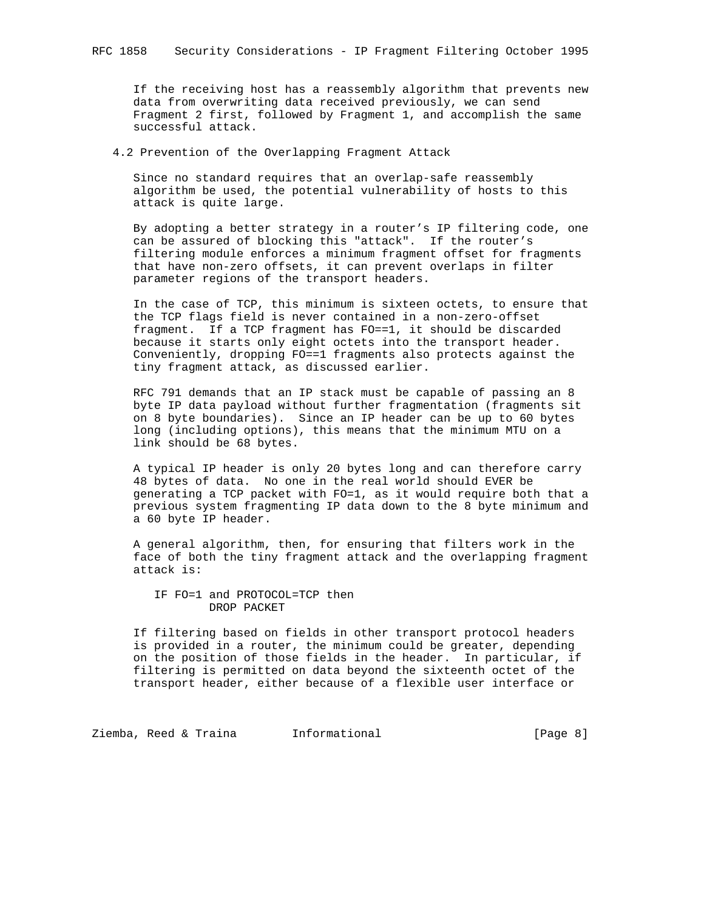If the receiving host has a reassembly algorithm that prevents new data from overwriting data received previously, we can send Fragment 2 first, followed by Fragment 1, and accomplish the same successful attack.

4.2 Prevention of the Overlapping Fragment Attack

 Since no standard requires that an overlap-safe reassembly algorithm be used, the potential vulnerability of hosts to this attack is quite large.

 By adopting a better strategy in a router's IP filtering code, one can be assured of blocking this "attack". If the router's filtering module enforces a minimum fragment offset for fragments that have non-zero offsets, it can prevent overlaps in filter parameter regions of the transport headers.

 In the case of TCP, this minimum is sixteen octets, to ensure that the TCP flags field is never contained in a non-zero-offset fragment. If a TCP fragment has FO==1, it should be discarded because it starts only eight octets into the transport header. Conveniently, dropping FO==1 fragments also protects against the tiny fragment attack, as discussed earlier.

 RFC 791 demands that an IP stack must be capable of passing an 8 byte IP data payload without further fragmentation (fragments sit on 8 byte boundaries). Since an IP header can be up to 60 bytes long (including options), this means that the minimum MTU on a link should be 68 bytes.

 A typical IP header is only 20 bytes long and can therefore carry 48 bytes of data. No one in the real world should EVER be generating a TCP packet with FO=1, as it would require both that a previous system fragmenting IP data down to the 8 byte minimum and a 60 byte IP header.

 A general algorithm, then, for ensuring that filters work in the face of both the tiny fragment attack and the overlapping fragment attack is:

 IF FO=1 and PROTOCOL=TCP then DROP PACKET

 If filtering based on fields in other transport protocol headers is provided in a router, the minimum could be greater, depending on the position of those fields in the header. In particular, if filtering is permitted on data beyond the sixteenth octet of the transport header, either because of a flexible user interface or

Ziemba, Reed & Traina 1nformational 11 (Page 8)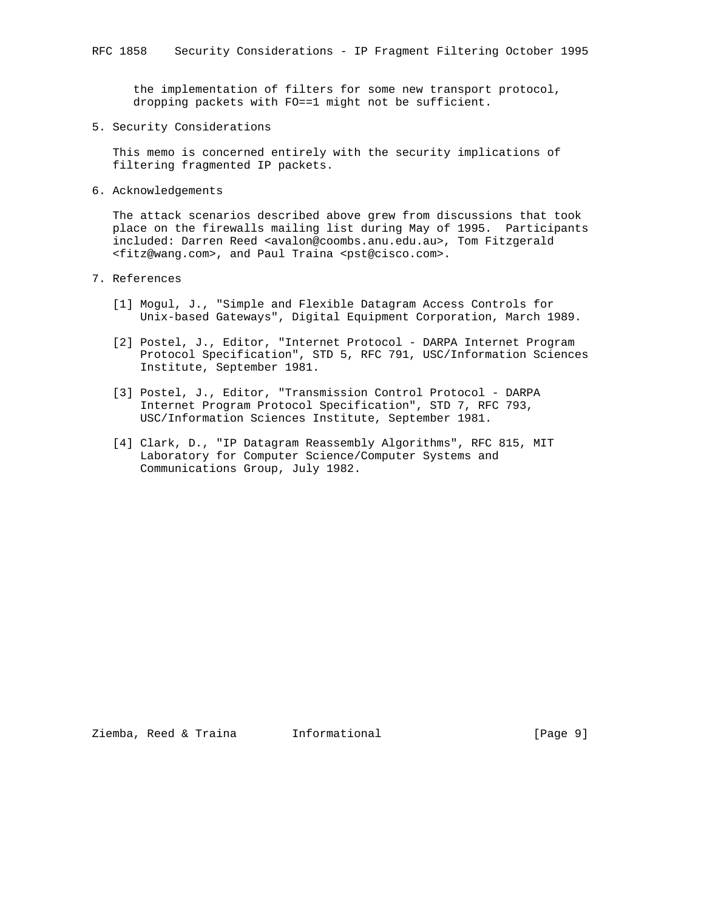the implementation of filters for some new transport protocol, dropping packets with FO==1 might not be sufficient.

5. Security Considerations

 This memo is concerned entirely with the security implications of filtering fragmented IP packets.

6. Acknowledgements

 The attack scenarios described above grew from discussions that took place on the firewalls mailing list during May of 1995. Participants included: Darren Reed <avalon@coombs.anu.edu.au>, Tom Fitzgerald <fitz@wang.com>, and Paul Traina <pst@cisco.com>.

- 7. References
	- [1] Mogul, J., "Simple and Flexible Datagram Access Controls for Unix-based Gateways", Digital Equipment Corporation, March 1989.
	- [2] Postel, J., Editor, "Internet Protocol DARPA Internet Program Protocol Specification", STD 5, RFC 791, USC/Information Sciences Institute, September 1981.
	- [3] Postel, J., Editor, "Transmission Control Protocol DARPA Internet Program Protocol Specification", STD 7, RFC 793, USC/Information Sciences Institute, September 1981.
	- [4] Clark, D., "IP Datagram Reassembly Algorithms", RFC 815, MIT Laboratory for Computer Science/Computer Systems and Communications Group, July 1982.